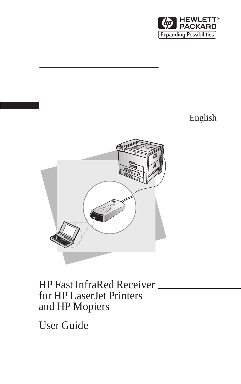

## English



# HP Fast InfraRed Receiver for HP LaserJet Printers and HP Mopiers

User Guide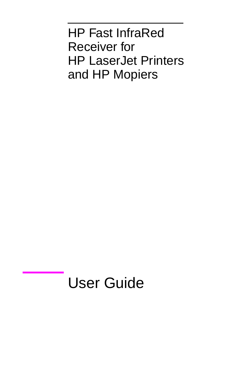HP Fast InfraRed Receiver for HP LaserJet Printers and HP Mopiers

# User Guide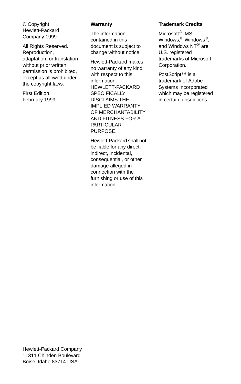© Copyright Hewlett-Packard Company 1999

All Rights Reserved. Reproduction, adaptation, or translation without prior written permission is prohibited, except as allowed under the copyright laws.

First Edition, February 1999

#### **Warranty**

The information contained in this document is subject to change without notice.

Hewlett-Packard makes no warranty of any kind with respect to this information. HEWLETT-PACKARD SPECIFICALLY DISCLAIMS THE IMPLIED WARRANTY OF MERCHANTABILITY AND FITNESS FOR A PARTICULAR PURPOSE.

Hewlett-Packard shall not be liable for any direct, indirect, incidental, consequential, or other damage alleged in connection with the furnishing or use of this information.

#### **Trademark Credits**

Microsoft®, MS Windows.<sup>®</sup> Windows<sup>®</sup>. and Windows NT<sup>®</sup> are U.S. registered trademarks of Microsoft Corporation.

PostScript<sup>™</sup> is a trademark of Adobe Systems Incorporated which may be registered in certain jurisdictions.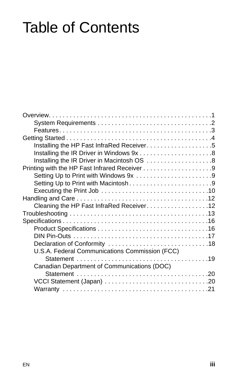# Table of Contents

| Installing the HP Fast InfraRed Receiver5      |  |
|------------------------------------------------|--|
|                                                |  |
| Installing the IR Driver in Macintosh OS 8     |  |
|                                                |  |
| Setting Up to Print with Windows 9x 9          |  |
| Setting Up to Print with Macintosh9            |  |
|                                                |  |
|                                                |  |
| Cleaning the HP Fast InfraRed Receiver12       |  |
|                                                |  |
|                                                |  |
|                                                |  |
|                                                |  |
|                                                |  |
| U.S.A. Federal Communications Commission (FCC) |  |
|                                                |  |
| Canadian Department of Communications (DOC)    |  |
|                                                |  |
|                                                |  |
|                                                |  |
|                                                |  |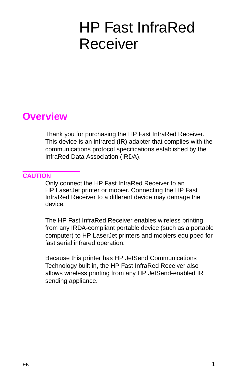# <span id="page-6-0"></span>HP Fast InfraRed Receiver

## **Overview**

Thank you for purchasing the HP Fast InfraRed Receiver. This device is an infrared (IR) adapter that complies with the communications protocol specifications established by the InfraRed Data Association (IRDA).

### **CAUTION**

Only connect the HP Fast InfraRed Receiver to an HP LaserJet printer or mopier. Connecting the HP Fast InfraRed Receiver to a different device may damage the device.

The HP Fast InfraRed Receiver enables wireless printing from any IRDA-compliant portable device (such as a portable computer) to HP LaserJet printers and mopiers equipped for fast serial infrared operation.

Because this printer has HP JetSend Communications Technology built in, the HP Fast InfraRed Receiver also allows wireless printing from any HP JetSend-enabled IR sending appliance.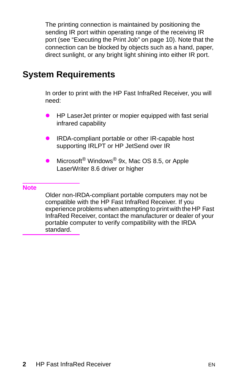<span id="page-7-0"></span>The printing connection is maintained by positioning the sending IR port within operating range of the receiving IR port (see ["Executing the Print Job" on page 10](#page-15-0)). Note that the connection can be blocked by objects such as a hand, paper, direct sunlight, or any bright light shining into either IR port.

## **System Requirements**

In order to print with the HP Fast InfraRed Receiver, you will need:

- HP LaserJet printer or mopier equipped with fast serial infrared capability
- IRDA-compliant portable or other IR-capable host supporting IRLPT or HP JetSend over IR
- Microsoft<sup>®</sup> Windows<sup>®</sup> 9x, Mac OS 8.5, or Apple LaserWriter 8.6 driver or higher

#### **Note**

Older non-IRDA-compliant portable computers may not be compatible with the HP Fast InfraRed Receiver. If you experience problems when attempting to print with the HP Fast InfraRed Receiver, contact the manufacturer or dealer of your portable computer to verify compatibility with the IRDA standard.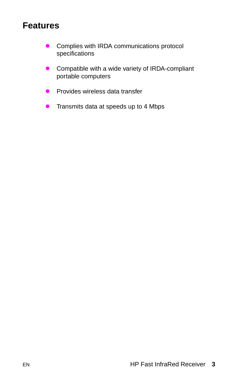## <span id="page-8-0"></span>**Features**

- **•** Complies with IRDA communications protocol specifications
- **•** Compatible with a wide variety of IRDA-compliant portable computers
- $\bullet$  Provides wireless data transfer
- $\bullet$  Transmits data at speeds up to 4 Mbps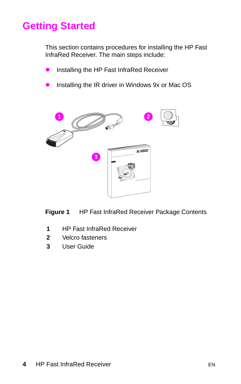# <span id="page-9-0"></span>**Getting Started**

This section contains procedures for installing the HP Fast InfraRed Receiver. The main steps include:

- **•** Installing the HP Fast InfraRed Receiver
- Installing the IR driver in Windows 9x or Mac OS



**Figure 1** HP Fast InfraRed Receiver Package Contents

- **1** HP Fast InfraRed Receiver
- **2** Velcro fasteners
- **3** User Guide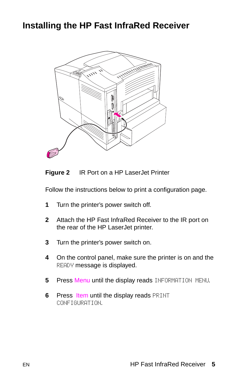## <span id="page-10-0"></span>**Installing the HP Fast InfraRed Receiver**





Follow the instructions below to print a configuration page.

- **1** Turn the printer's power switch off.
- **2** Attach the HP Fast InfraRed Receiver to the IR port on the rear of the HP LaserJet printer.
- **3** Turn the printer's power switch on.
- **4** On the control panel, make sure the printer is on and the READY message is displayed.
- **5** Press Menu until the display reads INFORMATION MENU.
- **6** Press Item until the display reads PRINT CONFIGURATION.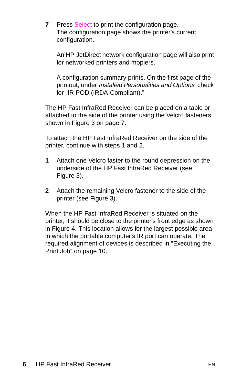**7** Press Select to print the configuration page. The configuration page shows the printer's current configuration.

An HP JetDirect network configuration page will also print for networked printers and mopiers.

A configuration summary prints. On the first page of the printout, under Installed Personalities and Options, check for "IR POD (IRDA-Compliant)."

The HP Fast InfraRed Receiver can be placed on a table or attached to the side of the printer using the Velcro fasteners shown in [Figure 3 on page 7.](#page-12-0)

To attach the HP Fast InfraRed Receiver on the side of the printer, continue with steps 1 and 2.

- **1** Attach one Velcro faster to the round depression on the underside of the HP Fast InfraRed Receiver (see [Figure 3](#page-12-0)).
- **2** Attach the remaining Velcro fastener to the side of the printer (see [Figure 3\)](#page-12-0).

When the HP Fast InfraRed Receiver is situated on the printer, it should be close to the printer's front edge as shown in [Figure 4.](#page-12-0) This location allows for the largest possible area in which the portable computer's IR port can operate. The required alignment of devices is described in ["Executing the](#page-15-0)  [Print Job" on page 10.](#page-15-0)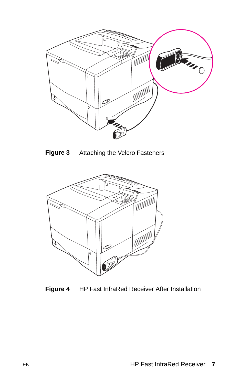<span id="page-12-0"></span>





**Figure 4** HP Fast InfraRed Receiver After Installation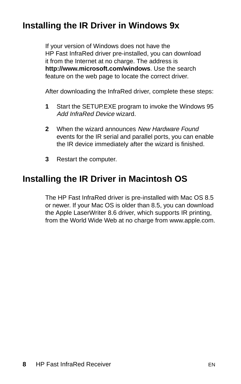## <span id="page-13-0"></span>**Installing the IR Driver in Windows 9x**

If your version of Windows does not have the HP Fast InfraRed driver pre-installed, you can download it from the Internet at no charge. The address is **http://www.microsoft.com/windows**. Use the search feature on the web page to locate the correct driver.

After downloading the InfraRed driver, complete these steps:

- **1** Start the SETUP.EXE program to invoke the Windows 95 Add InfraRed Device wizard.
- **2** When the wizard announces New Hardware Found events for the IR serial and parallel ports, you can enable the IR device immediately after the wizard is finished.
- **3** Restart the computer.

## **Installing the IR Driver in Macintosh OS**

The HP Fast InfraRed driver is pre-installed with Mac OS 8.5 or newer. If your Mac OS is older than 8.5, you can download the Apple LaserWriter 8.6 driver, which supports IR printing, from the World Wide Web at no charge from www.apple.com.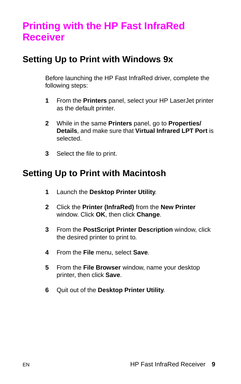# <span id="page-14-0"></span>**Printing with the HP Fast InfraRed Receiver**

## **Setting Up to Print with Windows 9x**

Before launching the HP Fast InfraRed driver, complete the following steps:

- **1** From the **Printers** panel, select your HP LaserJet printer as the default printer.
- **2** While in the same **Printers** panel, go to **Properties/ Details**, and make sure that **Virtual Infrared LPT Port** is selected.
- **3** Select the file to print.

## **Setting Up to Print with Macintosh**

- **1** Launch the **Desktop Printer Utility**.
- **2** Click the **Printer (InfraRed)** from the **New Printer** window. Click **OK**, then click **Change**.
- **3** From the **PostScript Printer Description** window, click the desired printer to print to.
- **4** From the **File** menu, select **Save**.
- **5** From the **File Browser** window, name your desktop printer, then click **Save**.
- **6** Quit out of the **Desktop Printer Utility**.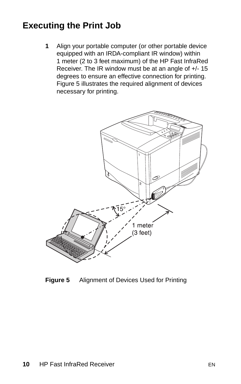## <span id="page-15-0"></span>**Executing the Print Job**

**1** Align your portable computer (or other portable device equipped with an IRDA-compliant IR window) within 1 meter (2 to 3 feet maximum) of the HP Fast InfraRed Receiver. The IR window must be at an angle of +/- 15 degrees to ensure an effective connection for printing. Figure 5 illustrates the required alignment of devices necessary for printing.



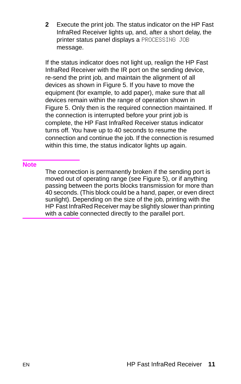**2** Execute the print job. The status indicator on the HP Fast InfraRed Receiver lights up, and, after a short delay, the printer status panel displays a PROCESSING JOB message.

If the status indicator does not light up, realign the HP Fast InfraRed Receiver with the IR port on the sending device, re-send the print job, and maintain the alignment of all devices as shown in [Figure 5.](#page-15-0) If you have to move the equipment (for example, to add paper), make sure that all devices remain within the range of operation shown in [Figure 5](#page-15-0). Only then is the required connection maintained. If the connection is interrupted before your print job is complete, the HP Fast InfraRed Receiver status indicator turns off. You have up to 40 seconds to resume the connection and continue the job. If the connection is resumed within this time, the status indicator lights up again.

#### **Note**

The connection is permanently broken if the sending port is moved out of operating range (see [Figure 5](#page-15-0)), or if anything passing between the ports blocks transmission for more than 40 seconds. (This block could be a hand, paper, or even direct sunlight). Depending on the size of the job, printing with the HP Fast InfraRed Receiver may be slightly slower than printing with a cable connected directly to the parallel port.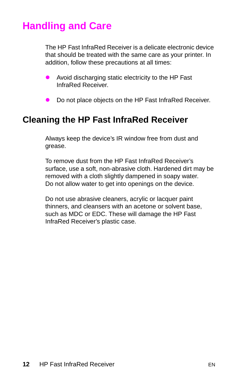# <span id="page-17-0"></span>**Handling and Care**

The HP Fast InfraRed Receiver is a delicate electronic device that should be treated with the same care as your printer. In addition, follow these precautions at all times:

- Avoid discharging static electricity to the HP Fast InfraRed Receiver.
- Do not place objects on the HP Fast InfraRed Receiver.

## **Cleaning the HP Fast InfraRed Receiver**

Always keep the device's IR window free from dust and grease.

To remove dust from the HP Fast InfraRed Receiver's surface, use a soft, non-abrasive cloth. Hardened dirt may be removed with a cloth slightly dampened in soapy water. Do not allow water to get into openings on the device.

Do not use abrasive cleaners, acrylic or lacquer paint thinners, and cleansers with an acetone or solvent base, such as MDC or EDC. These will damage the HP Fast InfraRed Receiver's plastic case.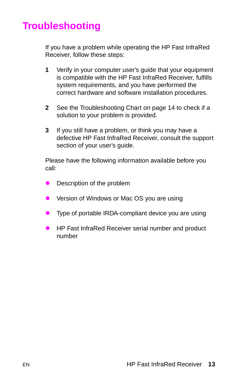# <span id="page-18-0"></span>**Troubleshooting**

If you have a problem while operating the HP Fast InfraRed Receiver, follow these steps:

- **1** Verify in your computer user's guide that your equipment is compatible with the HP Fast InfraRed Receiver, fulfills system requirements, and you have performed the correct hardware and software installation procedures.
- **2** See the Troubleshooting Chart on page [14](#page-19-0) to check if a solution to your problem is provided.
- **3** If you still have a problem, or think you may have a defective HP Fast InfraRed Receiver, consult the support section of your user's guide.

Please have the following information available before you call:

- Description of the problem
- Version of Windows or Mac OS you are using
- $\bullet$  Type of portable IRDA-compliant device you are using
- HP Fast InfraRed Receiver serial number and product number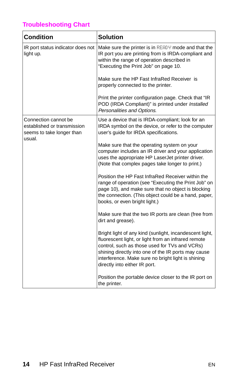## <span id="page-19-0"></span>**Troubleshooting Chart**

| <b>Condition</b>                                                                           | <b>Solution</b>                                                                                                                                                                                                                                                                                               |  |
|--------------------------------------------------------------------------------------------|---------------------------------------------------------------------------------------------------------------------------------------------------------------------------------------------------------------------------------------------------------------------------------------------------------------|--|
| IR port status indicator does not<br>light up.                                             | Make sure the printer is in READY mode and that the<br>IR port you are printing from is IRDA-compliant and<br>within the range of operation described in<br>"Executing the Print Job" on page 10.                                                                                                             |  |
|                                                                                            | Make sure the HP Fast InfraRed Receiver is<br>properly connected to the printer.                                                                                                                                                                                                                              |  |
|                                                                                            | Print the printer configuration page. Check that "IR<br>POD (IRDA Compliant)" is printed under Installed<br>Personalities and Options.                                                                                                                                                                        |  |
| Connection cannot be<br>established or transmission<br>seems to take longer than<br>usual. | Use a device that is IRDA-compliant; look for an<br>IRDA symbol on the device, or refer to the computer<br>user's guide for IRDA specifications.                                                                                                                                                              |  |
|                                                                                            | Make sure that the operating system on your<br>computer includes an IR driver and your application<br>uses the appropriate HP LaserJet printer driver.<br>(Note that complex pages take longer to print.)                                                                                                     |  |
|                                                                                            | Position the HP Fast InfraRed Receiver within the<br>range of operation (see "Executing the Print Job" on<br>page 10), and make sure that no object is blocking<br>the connection. (This object could be a hand, paper,<br>books, or even bright light.)                                                      |  |
|                                                                                            | Make sure that the two IR ports are clean (free from<br>dirt and grease).                                                                                                                                                                                                                                     |  |
|                                                                                            | Bright light of any kind (sunlight, incandescent light,<br>fluorescent light, or light from an infrared remote<br>control, such as those used for TVs and VCRs)<br>shining directly into one of the IR ports may cause<br>interference. Make sure no bright light is shining<br>directly into either IR port. |  |
|                                                                                            | Position the portable device closer to the IR port on<br>the printer.                                                                                                                                                                                                                                         |  |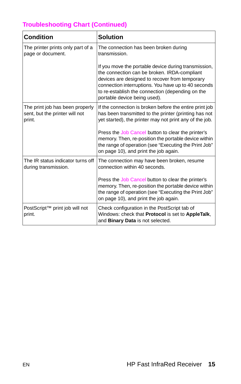## **Troubleshooting Chart (Continued)**

| <b>Condition</b>                                                            | <b>Solution</b>                                                                                                                                                                                                                                                                                   |
|-----------------------------------------------------------------------------|---------------------------------------------------------------------------------------------------------------------------------------------------------------------------------------------------------------------------------------------------------------------------------------------------|
| The printer prints only part of a<br>page or document.                      | The connection has been broken during<br>transmission.                                                                                                                                                                                                                                            |
|                                                                             | If you move the portable device during transmission,<br>the connection can be broken. IRDA-compliant<br>devices are designed to recover from temporary<br>connection interruptions. You have up to 40 seconds<br>to re-establish the connection (depending on the<br>portable device being used). |
| The print job has been properly<br>sent, but the printer will not<br>print. | If the connection is broken before the entire print job<br>has been transmitted to the printer (printing has not<br>yet started), the printer may not print any of the job.                                                                                                                       |
|                                                                             | Press the Job Cancel button to clear the printer's<br>memory. Then, re-position the portable device within<br>the range of operation (see "Executing the Print Job"<br>on page 10), and print the job again.                                                                                      |
| The IR status indicator turns off<br>during transmission.                   | The connection may have been broken, resume<br>connection within 40 seconds.                                                                                                                                                                                                                      |
|                                                                             | Press the Job Cancel button to clear the printer's<br>memory. Then, re-position the portable device within<br>the range of operation (see "Executing the Print Job"<br>on page 10), and print the job again.                                                                                      |
| PostScript™ print job will not<br>print.                                    | Check configuration in the PostScript tab of<br>Windows: check that Protocol is set to AppleTalk,<br>and Binary Data is not selected.                                                                                                                                                             |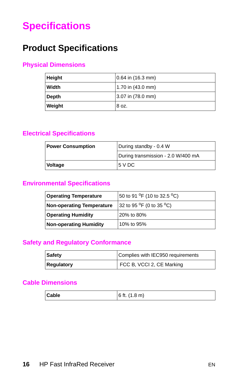# <span id="page-21-0"></span>**Specifications**

## **Product Specifications**

## **Physical Dimensions**

| Height | 0.64 in (16.3 mm) |
|--------|-------------------|
| Width  | 1.70 in (43.0 mm) |
| Depth  | 3.07 in (78.0 mm) |
| Weight | 8 oz.             |

### **Electrical Specifications**

| <b>Power Consumption</b> | During standby - 0.4 W             |  |
|--------------------------|------------------------------------|--|
|                          | During transmission - 2.0 W/400 mA |  |
| Voltage                  | 15 V DC                            |  |

### **Environmental Specifications**

| 50 to 91 <sup>o</sup> F (10 to 32.5 <sup>o</sup> C)<br><b>Operating Temperature</b> |                                                  |
|-------------------------------------------------------------------------------------|--------------------------------------------------|
| <b>Non-operating Temperature</b>                                                    | 32 to 95 <sup>o</sup> F (0 to 35 <sup>o</sup> C) |
| <b>Operating Humidity</b>                                                           | 20% to 80%                                       |
| Non-operating Humidity                                                              | 10% to 95%                                       |

## **Safety and Regulatory Conformance**

| Safety     | Complies with IEC950 requirements |  |
|------------|-----------------------------------|--|
| Regulatory | FCC B, VCCI 2, CE Marking         |  |

## **Cable Dimensions**

| Cable | 6 ft. $(1.8 \text{ m})$ |
|-------|-------------------------|
|-------|-------------------------|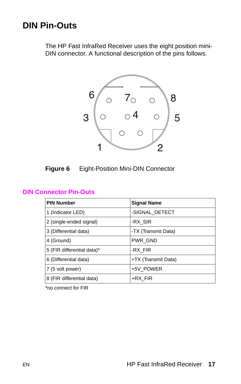## <span id="page-22-0"></span>**DIN Pin-Outs**

The HP Fast InfraRed Receiver uses the eight position mini-DIN connector. A functional description of the pins follows.





#### **DIN Connector Pin-Outs**

| <b>PIN Number</b>          | <b>Signal Name</b>  |
|----------------------------|---------------------|
| 1 (Indicator LED)          | -SIGNAL DETECT      |
| 2 (single-ended signal)    | -RX SIR             |
| 3 (Differential data)      | -TX (Transmit Data) |
| 4 (Ground)                 | <b>PWR GND</b>      |
| 5 (FIR differential data)* | -RX FIR             |
| 6 (Differential data)      | +TX (Transmit Data) |
| 7 (5 volt power)           | +5V POWER           |
| 8 (FIR differential data)  | +RX FIR             |

\*no connect for FIR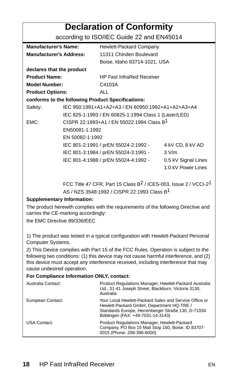## **Declaration of Conformity**

### according to ISO/IEC Guide 22 and EN45014

<span id="page-23-0"></span>

| <b>Manufacturer's Name:</b>                       |                                                       | Hewlett-Packard Company                              |                     |
|---------------------------------------------------|-------------------------------------------------------|------------------------------------------------------|---------------------|
| <b>Manufacturer's Address:</b>                    |                                                       | 11311 Chinden Boulevard                              |                     |
|                                                   |                                                       | Boise, Idaho 83714-1021, USA                         |                     |
| declares that the product                         |                                                       |                                                      |                     |
| <b>Product Name:</b>                              |                                                       | <b>HP Fast InfraRed Receiver</b>                     |                     |
| <b>Model Number:</b>                              |                                                       | C4103A                                               |                     |
| <b>Product Options:</b>                           |                                                       | ALL                                                  |                     |
| conforms to the following Product Specifications: |                                                       |                                                      |                     |
| Safety:                                           |                                                       | IEC 950:1991+A1+A2+A3 / EN 60950:1992+A1+A2+A3+A4    |                     |
|                                                   |                                                       | IEC 825-1:1993 / EN 60825-1:1994 Class 1 (Laser/LED) |                     |
| FMC:                                              | CISPR 22:1993+A1 / EN 55022:1994 Class B <sup>1</sup> |                                                      |                     |
|                                                   | EN50081-1:1992                                        |                                                      |                     |
|                                                   | EN 50082-1:1992                                       |                                                      |                     |
|                                                   |                                                       | IEC 801-2:1991 / prEN 55024-2:1992 -                 | 4 kV CD, 8 kV AD    |
|                                                   |                                                       | IEC 801-3:1984 / prEN 55024-3:1991 -                 | 3 V/m               |
|                                                   |                                                       | IEC 801-4:1988 / prEN 55024-4:1992 -                 | 0.5 kV Signal Lines |
|                                                   |                                                       |                                                      | 1.0 kV Power Lines  |
|                                                   |                                                       |                                                      |                     |

FCC Title 47 CFR, Part 15 Class  $B^2$  / ICES-003, Issue 2 / VCCI-2<sup>1</sup> AS / NZS 3548:1992 / CISPR 22:1993 Class B1

#### **Supplementary Information:**

The product herewith complies with the requirements of the following Directive and carries the CE-marking accordingly:

the EMC Directive 89/336/EEC

1) The product was tested in a typical configuration with Hewlett-Packard Personal Computer Systems.

2) This Device complies with Part 15 of the FCC Rules. Operation is subject to the following two conditions: (1) this device may not cause harmful interference, and (2) this device must accept any interference received, including interference that may cause undesired operation.

#### **For Compliance Information ONLY, contact:**

| Product Regulations Manager, Hewlett-Packard Australia<br>Ltd., 31-41 Joseph Street, Blackburn, Victoria 3130,<br>Australia                                                                    |
|------------------------------------------------------------------------------------------------------------------------------------------------------------------------------------------------|
| Your Local Hewlett-Packard Sales and Service Office or<br>Hewlett-Packard GmbH, Department HQ-TRE /<br>Standards Europe, Herrenberger Straße 130, D-71034<br>Böblingen (FAX: +49-7031-14-3143) |
| Product Regulations Manager, Hewlett-Packard<br>Company, PO Box 15 Mail Stop 160, Boise, ID 83707-<br>0015 (Phone: 208-396-6000)                                                               |
|                                                                                                                                                                                                |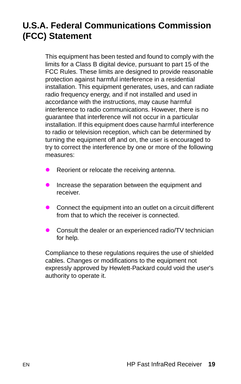## <span id="page-24-0"></span>**U.S.A. Federal Communications Commission (FCC) Statement**

This equipment has been tested and found to comply with the limits for a Class B digital device, pursuant to part 15 of the FCC Rules. These limits are designed to provide reasonable protection against harmful interference in a residential installation. This equipment generates, uses, and can radiate radio frequency energy, and if not installed and used in accordance with the instructions, may cause harmful interference to radio communications. However, there is no guarantee that interference will not occur in a particular installation. If this equipment does cause harmful interference to radio or television reception, which can be determined by turning the equipment off and on, the user is encouraged to try to correct the interference by one or more of the following measures:

- Reorient or relocate the receiving antenna.
- $\bullet$  Increase the separation between the equipment and receiver.
- $\bullet$  Connect the equipment into an outlet on a circuit different from that to which the receiver is connected.
- Consult the dealer or an experienced radio/TV technician for help.

Compliance to these regulations requires the use of shielded cables. Changes or modifications to the equipment not expressly approved by Hewlett-Packard could void the user's authority to operate it.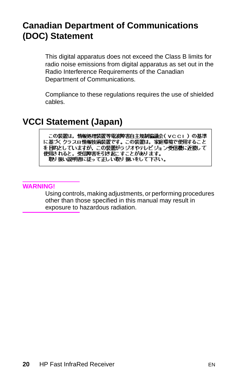## <span id="page-25-0"></span>**Canadian Department of Communications (DOC) Statement**

This digital apparatus does not exceed the Class B limits for radio noise emissions from digital apparatus as set out in the Radio Interference Requirements of the Canadian Department of Communications.

Compliance to these regulations requires the use of shielded cables.

## **VCCI Statement (Japan)**

この装置は,情報処理装置等電波障害自主規制協議会(VCCI)の基準 ・<br>を目的としていますが,この装置がラジオやテレビジョン受信機に近接して 使用されると,受信障害を引き起こすことがあります。<br>- 取り扱い説明書に従って正しい取り扱いをして下さい。

#### **WARNING!**

Using controls, making adjustments, or performing procedures other than those specified in this manual may result in exposure to hazardous radiation.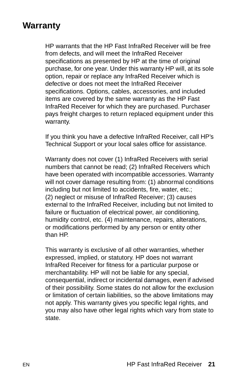## <span id="page-26-0"></span>**Warranty**

HP warrants that the HP Fast InfraRed Receiver will be free from defects, and will meet the InfraRed Receiver specifications as presented by HP at the time of original purchase, for one year. Under this warranty HP will, at its sole option, repair or replace any InfraRed Receiver which is defective or does not meet the InfraRed Receiver specifications. Options, cables, accessories, and included items are covered by the same warranty as the HP Fast InfraRed Receiver for which they are purchased. Purchaser pays freight charges to return replaced equipment under this warranty.

If you think you have a defective InfraRed Receiver, call HP's Technical Support or your local sales office for assistance.

Warranty does not cover (1) InfraRed Receivers with serial numbers that cannot be read; (2) InfraRed Receivers which have been operated with incompatible accessories. Warranty will not cover damage resulting from: (1) abnormal conditions including but not limited to accidents, fire, water, etc.; (2) neglect or misuse of InfraRed Receiver; (3) causes external to the InfraRed Receiver, including but not limited to failure or fluctuation of electrical power, air conditioning, humidity control, etc. (4) maintenance, repairs, alterations, or modifications performed by any person or entity other than HP.

This warranty is exclusive of all other warranties, whether expressed, implied, or statutory. HP does not warrant InfraRed Receiver for fitness for a particular purpose or merchantability. HP will not be liable for any special, consequential, indirect or incidental damages, even if advised of their possibility. Some states do not allow for the exclusion or limitation of certain liabilities, so the above limitations may not apply. This warranty gives you specific legal rights, and you may also have other legal rights which vary from state to state.